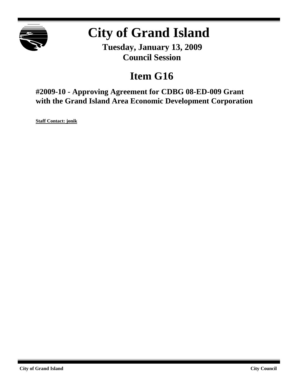

# **City of Grand Island**

**Tuesday, January 13, 2009 Council Session**

## **Item G16**

**#2009-10 - Approving Agreement for CDBG 08-ED-009 Grant with the Grand Island Area Economic Development Corporation**

**Staff Contact: jonik**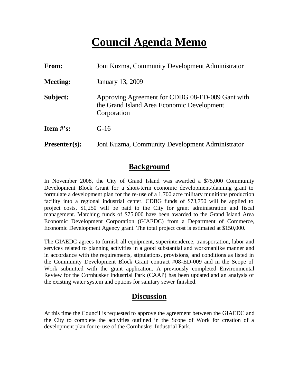## **Council Agenda Memo**

| From:           | Joni Kuzma, Community Development Administrator                                                               |  |
|-----------------|---------------------------------------------------------------------------------------------------------------|--|
| <b>Meeting:</b> | January 13, 2009                                                                                              |  |
| Subject:        | Approving Agreement for CDBG 08-ED-009 Gant with<br>the Grand Island Area Economic Development<br>Corporation |  |
| Item $\#$ 's:   | $G-16$                                                                                                        |  |
| $Presenter(s):$ | Joni Kuzma, Community Development Administrator                                                               |  |

## **Background**

In November 2008, the City of Grand Island was awarded a \$75,000 Community Development Block Grant for a short-term economic development/planning grant to formulate a development plan for the re-use of a 1,700 acre military munitions production facility into a regional industrial center. CDBG funds of \$73,750 will be applied to project costs, \$1,250 will be paid to the City for grant administration and fiscal management. Matching funds of \$75,000 have been awarded to the Grand Island Area Economic Development Corporation (GIAEDC) from a Department of Commerce, Economic Development Agency grant. The total project cost is estimated at \$150,000.

The GIAEDC agrees to furnish all equipment, superintendence, transportation, labor and services related to planning activities in a good substantial and workmanlike manner and in accordance with the requirements, stipulations, provisions, and conditions as listed in the Community Development Block Grant contract #08-ED-009 and in the Scope of Work submitted with the grant application. A previously completed Environmental Review for the Cornhusker Industrial Park (CAAP) has been updated and an analysis of the existing water system and options for sanitary sewer finished.

## **Discussion**

At this time the Council is requested to approve the agreement between the GIAEDC and the City to complete the activities outlined in the Scope of Work for creation of a development plan for re-use of the Cornhusker Industrial Park.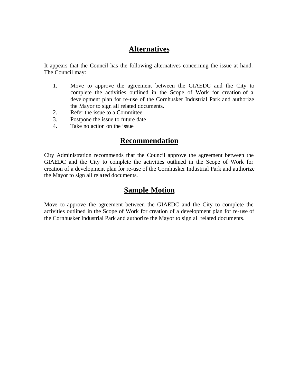## **Alternatives**

It appears that the Council has the following alternatives concerning the issue at hand. The Council may:

- 1. Move to approve the agreement between the GIAEDC and the City to complete the activities outlined in the Scope of Work for creation of a development plan for re-use of the Cornhusker Industrial Park and authorize the Mayor to sign all related documents.
- 2. Refer the issue to a Committee
- 3. Postpone the issue to future date
- 4. Take no action on the issue

### **Recommendation**

City Administration recommends that the Council approve the agreement between the GIAEDC and the City to complete the activities outlined in the Scope of Work for creation of a development plan for re-use of the Cornhusker Industrial Park and authorize the Mayor to sign all rela ted documents.

### **Sample Motion**

Move to approve the agreement between the GIAEDC and the City to complete the activities outlined in the Scope of Work for creation of a development plan for re-use of the Cornhusker Industrial Park and authorize the Mayor to sign all related documents.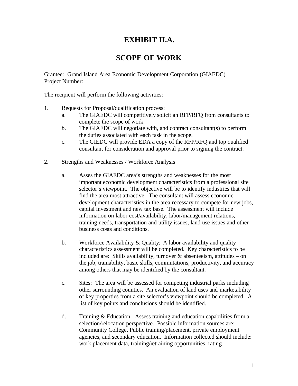## **EXHIBIT II.A.**

## **SCOPE OF WORK**

Grantee: Grand Island Area Economic Development Corporation (GIAEDC) Project Number:

The recipient will perform the following activities:

- 1. Requests for Proposal/qualification process:
	- a. The GIAEDC will competitively solicit an RFP/RFQ from consultants to complete the scope of work.
	- b. The GIAEDC will negotiate with, and contract consultant(s) to perform the duties associated with each task in the scope.
	- c. The GIEDC will provide EDA a copy of the RFP/RFQ and top qualified consultant for consideration and approval prior to signing the contract.
- 2. Strengths and Weaknesses / Workforce Analysis
	- a. Asses the GIAEDC area's strengths and weaknesses for the most important economic development characteristics from a professional site selector's viewpoint. The objective will be to identify industries that will find the area most attractive. The consultant will assess economic development characteristics in the area necessary to compete for new jobs, capital investment and new tax base. The assessment will include information on labor cost/availability, labor/management relations, training needs, transportation and utility issues, land use issues and other business costs and conditions.
	- b. Workforce Availability & Quality: A labor availability and quality characteristics assessment will be completed. Key characteristics to be included are: Skills availability, turnover & absenteeism, attitudes – on the job, trainability, basic skills, commutations, productivity, and accuracy among others that may be identified by the consultant.
	- c. Sites: The area will be assessed for competing industrial parks including other surrounding counties. An evaluation of land uses and marketability of key properties from a site selector's viewpoint should be completed. A list of key points and conclusions should be identified.
	- d. Training & Education: Assess training and education capabilities from a selection/relocation perspective. Possible information sources are: Community College, Public training/placement, private employment agencies, and secondary education. Information collected should include: work placement data, training/retraining opportunities, rating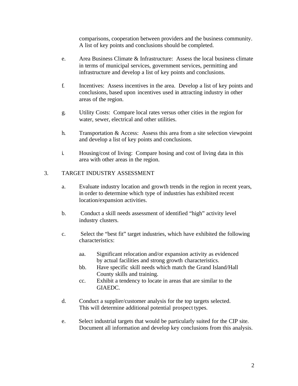comparisons, cooperation between providers and the business community. A list of key points and conclusions should be completed.

- e. Area Business Climate & Infrastructure: Assess the local business climate in terms of municipal services, government services, permitting and infrastructure and develop a list of key points and conclusions.
- f. Incentives: Assess incentives in the area. Develop a list of key points and conclusions, based upon incentives used in attracting industry in other areas of the region.
- g. Utility Costs: Compare local rates versus other cities in the region for water, sewer, electrical and other utilities.
- h. Transportation & Access: Assess this area from a site selection viewpoint and develop a list of key points and conclusions.
- i. Housing/cost of living: Compare hosing and cost of living data in this area with other areas in the region.

#### 3. TARGET INDUSTRY ASSESSMENT

- a. Evaluate industry location and growth trends in the region in recent years, in order to determine which type of industries has exhibited recent location/expansion activities.
- b. Conduct a skill needs assessment of identified "high" activity level industry clusters.
- c. Select the "best fit" target industries, which have exhibited the following characteristics:
	- aa. Significant relocation and/or expansion activity as evidenced by actual facilities and strong growth characteristics.
	- bb. Have specific skill needs which match the Grand Island/Hall County skills and training.
	- cc. Exhibit a tendency to locate in areas that are similar to the GIAEDC.
- d. Conduct a supplier/customer analysis for the top targets selected. This will determine additional potential prospect types.
- e. Select industrial targets that would be particularly suited for the CIP site. Document all information and develop key conclusions from this analysis.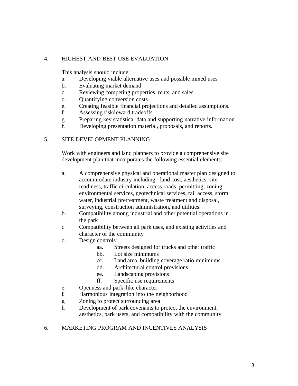#### 4. HIGHEST AND BEST USE EVALUATION

This analysis should include:

- a. Developing viable alternative uses and possible mixed uses
- b. Evaluating market demand
- c. Reviewing competing properties, rents, and sales
- d. Quantifying conversion costs
- e. Creating feasible financial projections and detailed assumptions.
- f. Assessing risk/reward tradeoffs
- g. Preparing key statistical data and supporting narrative information
- h. Developing presentation material, proposals, and reports.

#### 5. SITE DEVELOPMENT PLANNING

Work with engineers and land planners to provide a comprehensive site development plan that incorporates the following essential elements:

- a. A comprehensive physical and operational master plan designed to accommodate industry including: land cost, aesthetics, site readiness, traffic circulation, access roads, permitting, zoning, environmental services, geotechnical services, rail access, storm water, industrial pretreatment, waste treatment and disposal, surveying, construction administration, and utilities.
- b. Compatibility among industrial and other potential operations in the park
- c Compatibility between all park uses, and existing activities and character of the community
- d. Design controls:
	- aa. Streets designed for trucks and other traffic
	- bb. Lot size minimums
	- cc. Land area, building coverage ratio minimums
	- dd. Architectural control provisions
	- ee. Landscaping provisions
	- ff. Specific use requirements
- e. Openness and park-like character
- f. Harmonious integration into the neighborhood
- g. Zoning to protect surrounding area
- h. Development of park covenants to protect the environment, aesthetics, park users, and compatibility with the community

#### 6. MARKETING PROGRAM AND INCENTIVES ANALYSIS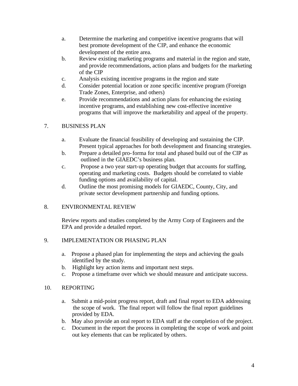- a. Determine the marketing and competitive incentive programs that will best promote development of the CIP, and enhance the economic development of the entire area.
- b. Review existing marketing programs and material in the region and state, and provide recommendations, action plans and budgets for the marketing of the CIP
- c. Analysis existing incentive programs in the region and state
- d. Consider potential location or zone specific incentive program (Foreign Trade Zones, Enterprise, and others)
- e. Provide recommendations and action plans for enhancing the existing incentive programs, and establishing new cost-effective incentive programs that will improve the marketability and appeal of the property.

#### 7. BUSINESS PLAN

- a. Evaluate the financial feasibility of developing and sustaining the CIP. Present typical approaches for both development and financing strategies.
- b. Prepare a detailed pro-forma for total and phased build out of the CIP as outlined in the GIAEDC's business plan.
- c. Propose a two year start-up operating budget that accounts for staffing, operating and marketing costs. Budgets should be correlated to viable funding options and availability of capital.
- d. Outline the most promising models for GIAEDC, County, City, and private sector development partnership and funding options.

#### 8. ENVIRONMENTAL REVIEW

Review reports and studies completed by the Army Corp of Engineers and the EPA and provide a detailed report.

#### 9. IMPLEMENTATION OR PHASING PLAN

- a. Propose a phased plan for implementing the steps and achieving the goals identified by the study.
- b. Highlight key action items and important next steps.
- c. Propose a timeframe over which we should measure and anticipate success.

#### 10. REPORTING

- a. Submit a mid-point progress report, draft and final report to EDA addressing the scope of work. The final report will follow the final report guidelines provided by EDA.
- b. May also provide an oral report to EDA staff at the completion of the project.
- c. Document in the report the process in completing the scope of work and point out key elements that can be replicated by others.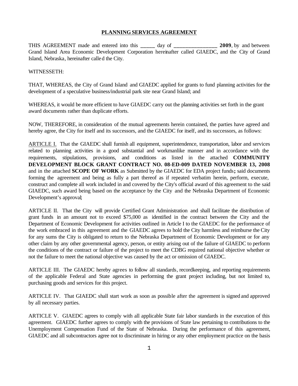#### **PLANNING SERVICES AGREEMENT**

THIS AGREEMENT made and entered into this **\_\_\_\_\_** day of **\_\_\_\_\_\_\_\_\_\_\_\_\_\_\_ 2009**, by and between Grand Island Area Economic Development Corporation hereinafter called GIAEDC, and the City of Grand Island, Nebraska, hereinafter called the City.

#### WITNESSETH:

THAT, WHEREAS, the City of Grand Island and GIAEDC applied for grants to fund planning activities for the development of a speculative business/industrial park site near Grand Island; and

WHEREAS, it would be more efficient to have GIAEDC carry out the planning activities set forth in the grant award documents rather than duplicate efforts.

NOW, THEREFORE, in consideration of the mutual agreements herein contained, the parties have agreed and hereby agree, the City for itself and its successors, and the GIAEDC for itself, and its successors, as follows:

ARTICLE I. That the GIAEDC shall furnish all equipment, superintendence, transportation, labor and services related to planning activities in a good substantial and workmanlike manner and in accordance with the requirements, stipulations, provisions, and conditions as listed in the attached **COMMUNITY DEVELOPMENT BLOCK GRANT CONTRACT NO. 08-ED-009 DATED NOVEMBER 13, 2008** and in the attached **SCOPE OF WORK** as Submitted by the GIAEDC for EDA project funds**;** said documents forming the agreement and being as fully a part thereof as if repeated verbatim herein, perform, execute, construct and complete all work included in and covered by the City's official award of this agreement to the said GIAEDC, such award being based on the acceptance by the City and the Nebraska Department of Economic Development's approval;

ARTICLE II. That the City will provide Certified Grant Administration and shall facilitate the distribution of grant funds in an amount not to exceed \$75,000 as identified in the contract between the City and the Department of Economic Development for activities outlined in Article I to the GIAEDC for the performance of the work embraced in this agreement and the GIAEDC agrees to hold the City harmless and reimburse the City for any sums the City is obligated to return to the Nebraska Department of Economic Development or for any other claim by any other governmental agency, person, or entity arising out of the failure of GIAEDC to perform the conditions of the contract or failure of the project to meet the CDBG required national objective whether or not the failure to meet the national objective was caused by the act or omission of GIAEDC.

ARTICLE III. The GIAEDC hereby agrees to follow all standards, recordkeeping, and reporting requirements of the applicable Federal and State agencies in performing the grant project including, but not limited to, purchasing goods and services for this project.

ARTICLE IV. That GIAEDC shall start work as soon as possible after the agreement is signed and approved by all necessary parties.

ARTICLE V. GIAEDC agrees to comply with all applicable State fair labor standards in the execution of this agreement. GIAEDC further agrees to comply with the provisions of State law pertaining to contributions to the Unemployment Compensation Fund of the State of Nebraska. During the performance of this agreement, GIAEDC and all subcontractors agree not to discriminate in hiring or any other employment practice on the basis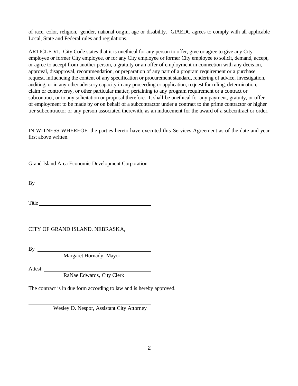of race, color, religion, gender, national origin, age or disability. GIAEDC agrees to comply with all applicable Local, State and Federal rules and regulations.

ARTICLE VI. City Code states that it is unethical for any person to offer, give or agree to give any City employee or former City employee, or for any City employee or former City employee to solicit, demand, accept, or agree to accept from another person, a gratuity or an offer of employment in connection with any decision, approval, disapproval, recommendation, or preparation of any part of a program requirement or a purchase request, influencing the content of any specification or procurement standard, rendering of advice, investigation, auditing, or in any other advisory capacity in any proceeding or application, request for ruling, determination, claim or controversy, or other particular matter, pertaining to any program requirement or a contract or subcontract, or to any solicitation or proposal therefore. It shall be unethical for any payment, gratuity, or offer of employment to be made by or on behalf of a subcontractor under a contract to the prime contractor or higher tier subcontractor or any person associated therewith, as an inducement for the award of a subcontract or order.

IN WITNESS WHEREOF, the parties hereto have executed this Services Agreement as of the date and year first above written.

Grand Island Area Economic Development Corporation

By

Title **The Community of the Community** of the Community of the Community of the Community of the Community of the Community of the Community of the Community of the Community of the Community of the Community of the Commun

CITY OF GRAND ISLAND, NEBRASKA,

By

Margaret Hornady, Mayor

Attest:

RaNae Edwards, City Clerk

The contract is in due form according to law and is hereby approved.

Wesley D. Nespor, Assistant City Attorney